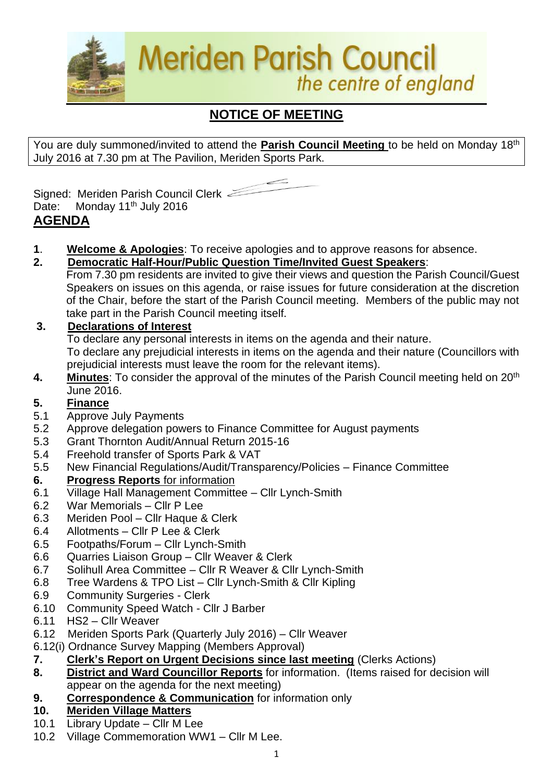

# **NOTICE OF MEETING**

You are duly summoned/invited to attend the **Parish Council Meeting** to be held on Monday 18th July 2016 at 7.30 pm at The Pavilion, Meriden Sports Park.



Signed: Meriden Parish Council Clerk Date: Monday 11<sup>th</sup> July 2016 **AGENDA**

- **1**. **Welcome & Apologies**: To receive apologies and to approve reasons for absence.
- **2. Democratic Half-Hour/Public Question Time/Invited Guest Speakers**:

From 7.30 pm residents are invited to give their views and question the Parish Council/Guest Speakers on issues on this agenda, or raise issues for future consideration at the discretion of the Chair, before the start of the Parish Council meeting. Members of the public may not take part in the Parish Council meeting itself.

# **3. Declarations of Interest**

To declare any personal interests in items on the agenda and their nature.

To declare any prejudicial interests in items on the agenda and their nature (Councillors with prejudicial interests must leave the room for the relevant items).

**4.** Minutes: To consider the approval of the minutes of the Parish Council meeting held on 20<sup>th</sup> June 2016.

# **5. Finance**

- 5.1 Approve July Payments
- 5.2 Approve delegation powers to Finance Committee for August payments
- 5.3 Grant Thornton Audit/Annual Return 2015-16
- 5.4 Freehold transfer of Sports Park & VAT
- 5.5 New Financial Regulations/Audit/Transparency/Policies Finance Committee

## **6. Progress Reports** for information

- 6.1 Village Hall Management Committee Cllr Lynch-Smith
- 6.2 War Memorials Cllr P Lee
- 6.3 Meriden Pool Cllr Haque & Clerk
- 6.4 Allotments Cllr P Lee & Clerk
- 6.5 Footpaths/Forum Cllr Lynch-Smith
- 6.6 Quarries Liaison Group Cllr Weaver & Clerk
- 6.7 Solihull Area Committee Cllr R Weaver & Cllr Lynch-Smith
- 6.8 Tree Wardens & TPO List Cllr Lynch-Smith & Cllr Kipling
- 6.9 Community Surgeries Clerk
- 6.10 Community Speed Watch Cllr J Barber
- 6.11 HS2 Cllr Weaver
- 6.12Meriden Sports Park (Quarterly July 2016) Cllr Weaver
- 6.12(i) Ordnance Survey Mapping (Members Approval)
- **7. Clerk's Report on Urgent Decisions since last meeting** (Clerks Actions)
- **8. District and Ward Councillor Reports** for information. (Items raised for decision will appear on the agenda for the next meeting)
- **9. Correspondence & Communication** for information only

## **10. Meriden Village Matters**

- 10.1 Library Update Cllr M Lee
- 10.2 Village Commemoration WW1 Cllr M Lee.